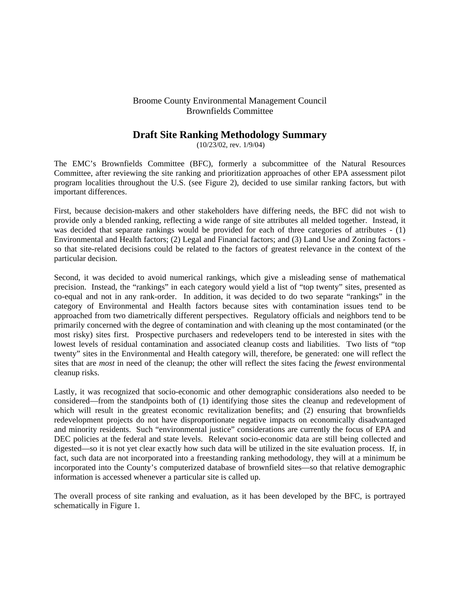## Broome County Environmental Management Council Brownfields Committee

# **Draft Site Ranking Methodology Summary**

(10/23/02, rev. 1/9/04)

The EMC's Brownfields Committee (BFC), formerly a subcommittee of the Natural Resources Committee, after reviewing the site ranking and prioritization approaches of other EPA assessment pilot program localities throughout the U.S. (see Figure 2), decided to use similar ranking factors, but with important differences.

First, because decision-makers and other stakeholders have differing needs, the BFC did not wish to provide only a blended ranking, reflecting a wide range of site attributes all melded together. Instead, it was decided that separate rankings would be provided for each of three categories of attributes - (1) Environmental and Health factors; (2) Legal and Financial factors; and (3) Land Use and Zoning factors so that site-related decisions could be related to the factors of greatest relevance in the context of the particular decision.

Second, it was decided to avoid numerical rankings, which give a misleading sense of mathematical precision. Instead, the "rankings" in each category would yield a list of "top twenty" sites, presented as co-equal and not in any rank-order. In addition, it was decided to do two separate "rankings" in the category of Environmental and Health factors because sites with contamination issues tend to be approached from two diametrically different perspectives. Regulatory officials and neighbors tend to be primarily concerned with the degree of contamination and with cleaning up the most contaminated (or the most risky) sites first. Prospective purchasers and redevelopers tend to be interested in sites with the lowest levels of residual contamination and associated cleanup costs and liabilities. Two lists of "top twenty" sites in the Environmental and Health category will, therefore, be generated: one will reflect the sites that are *most* in need of the cleanup; the other will reflect the sites facing the *fewest* environmental cleanup risks.

Lastly, it was recognized that socio-economic and other demographic considerations also needed to be considered—from the standpoints both of (1) identifying those sites the cleanup and redevelopment of which will result in the greatest economic revitalization benefits; and (2) ensuring that brownfields redevelopment projects do not have disproportionate negative impacts on economically disadvantaged and minority residents. Such "environmental justice" considerations are currently the focus of EPA and DEC policies at the federal and state levels. Relevant socio-economic data are still being collected and digested—so it is not yet clear exactly how such data will be utilized in the site evaluation process. If, in fact, such data are not incorporated into a freestanding ranking methodology, they will at a minimum be incorporated into the County's computerized database of brownfield sites—so that relative demographic information is accessed whenever a particular site is called up.

The overall process of site ranking and evaluation, as it has been developed by the BFC, is portrayed schematically in Figure 1.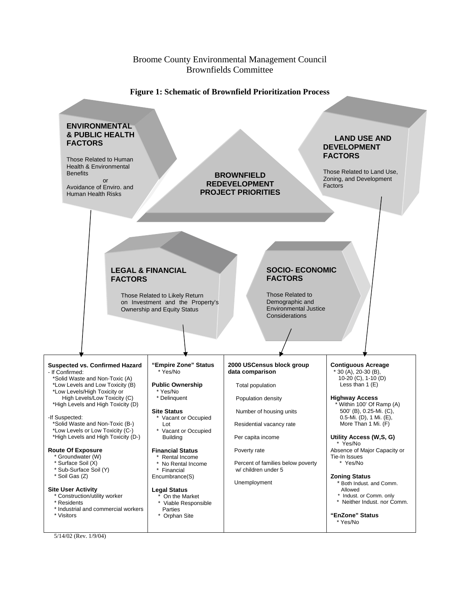#### Broome County Environmental Management Council Brownfields Committee